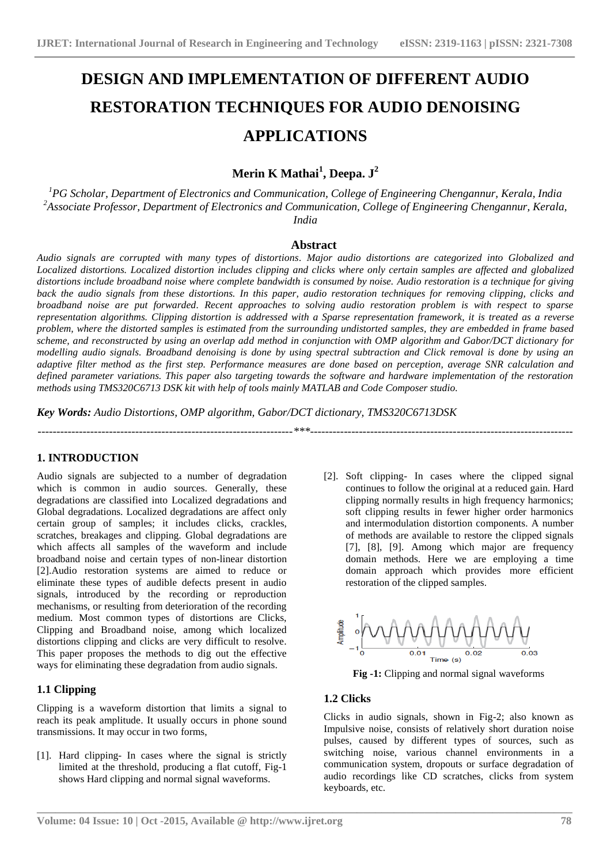# **DESIGN AND IMPLEMENTATION OF DIFFERENT AUDIO RESTORATION TECHNIQUES FOR AUDIO DENOISING APPLICATIONS**

## **Merin K Mathai<sup>1</sup> , Deepa. J<sup>2</sup>**

*<sup>1</sup>PG Scholar, Department of Electronics and Communication, College of Engineering Chengannur, Kerala, India <sup>2</sup>Associate Professor, Department of Electronics and Communication, College of Engineering Chengannur, Kerala, India*

#### **Abstract**

*Audio signals are corrupted with many types of distortions. Major audio distortions are categorized into Globalized and Localized distortions. Localized distortion includes clipping and clicks where only certain samples are affected and globalized distortions include broadband noise where complete bandwidth is consumed by noise. Audio restoration is a technique for giving back the audio signals from these distortions. In this paper, audio restoration techniques for removing clipping, clicks and broadband noise are put forwarded. Recent approaches to solving audio restoration problem is with respect to sparse representation algorithms. Clipping distortion is addressed with a Sparse representation framework, it is treated as a reverse problem, where the distorted samples is estimated from the surrounding undistorted samples, they are embedded in frame based scheme, and reconstructed by using an overlap add method in conjunction with OMP algorithm and Gabor/DCT dictionary for modelling audio signals. Broadband denoising is done by using spectral subtraction and Click removal is done by using an adaptive filter method as the first step. Performance measures are done based on perception, average SNR calculation and defined parameter variations. This paper also targeting towards the software and hardware implementation of the restoration methods using TMS320C6713 DSK kit with help of tools mainly MATLAB and Code Composer studio.*

*Key Words: Audio Distortions, OMP algorithm, Gabor/DCT dictionary, TMS320C6713DSK*

#### *--------------------------------------------------------------------\*\*\*----------------------------------------------------------------------*

#### **1. INTRODUCTION**

Audio signals are subjected to a number of degradation which is common in audio sources. Generally, these degradations are classified into Localized degradations and Global degradations. Localized degradations are affect only certain group of samples; it includes clicks, crackles, scratches, breakages and clipping. Global degradations are which affects all samples of the waveform and include broadband noise and certain types of non-linear distortion [2].Audio restoration systems are aimed to reduce or eliminate these types of audible defects present in audio signals, introduced by the recording or reproduction mechanisms, or resulting from deterioration of the recording medium. Most common types of distortions are Clicks, Clipping and Broadband noise, among which localized distortions clipping and clicks are very difficult to resolve. This paper proposes the methods to dig out the effective ways for eliminating these degradation from audio signals.

### **1.1 Clipping**

Clipping is a waveform distortion that limits a signal to reach its peak amplitude. It usually occurs in phone sound transmissions. It may occur in two forms,

[1]. Hard clipping- In cases where the signal is strictly limited at the threshold, producing a flat cutoff, Fig-1 shows Hard clipping and normal signal waveforms.

[2]. Soft clipping- In cases where the clipped signal continues to follow the original at a reduced gain. Hard clipping normally results in high frequency harmonics; soft clipping results in fewer higher order harmonics and intermodulation distortion components. A number of methods are available to restore the clipped signals [7], [8], [9]. Among which major are frequency domain methods. Here we are employing a time domain approach which provides more efficient restoration of the clipped samples.



**Fig -1:** Clipping and normal signal waveforms

#### **1.2 Clicks**

**\_\_\_\_\_\_\_\_\_\_\_\_\_\_\_\_\_\_\_\_\_\_\_\_\_\_\_\_\_\_\_\_\_\_\_\_\_\_\_\_\_\_\_\_\_\_\_\_\_\_\_\_\_\_\_\_\_\_\_\_\_\_\_\_\_\_\_\_\_\_\_\_\_\_\_\_\_\_\_\_\_\_\_\_\_\_\_**

Clicks in audio signals, shown in Fig-2; also known as Impulsive noise, consists of relatively short duration noise pulses, caused by different types of sources, such as switching noise, various channel environments in a communication system, dropouts or surface degradation of audio recordings like CD scratches, clicks from system keyboards, etc.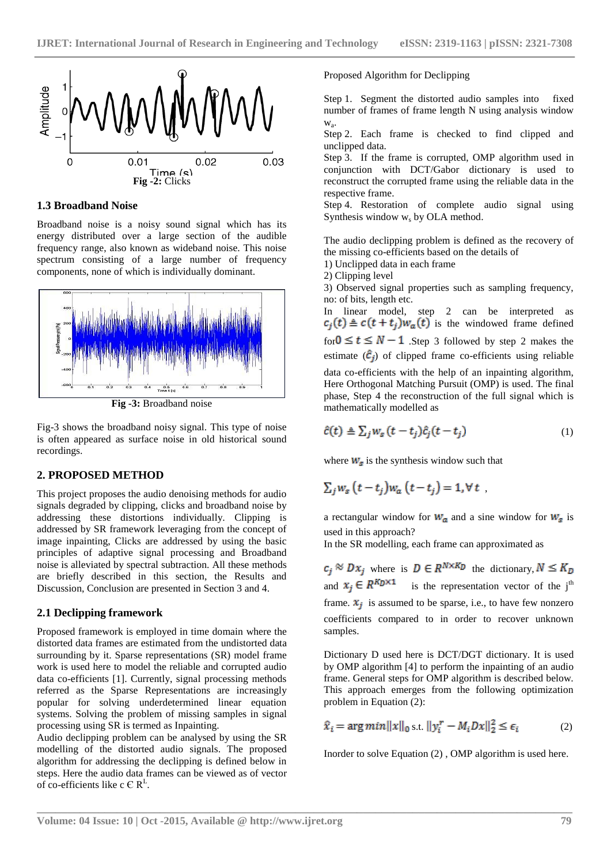

**1.3 Broadband Noise**

Broadband noise is a noisy sound signal which has its energy distributed over a large section of the audible frequency range, also known as wideband noise. This noise spectrum consisting of a large number of frequency components, none of which is individually dominant.



**Fig -3:** Broadband noise

Fig-3 shows the broadband noisy signal. This type of noise is often appeared as surface noise in old historical sound recordings.

#### **2. PROPOSED METHOD**

This project proposes the audio denoising methods for audio signals degraded by clipping, clicks and broadband noise by addressing these distortions individually. Clipping is addressed by SR framework leveraging from the concept of image inpainting, Clicks are addressed by using the basic principles of adaptive signal processing and Broadband noise is alleviated by spectral subtraction. All these methods are briefly described in this section, the Results and Discussion, Conclusion are presented in Section 3 and 4.

#### **2.1 Declipping framework**

Proposed framework is employed in time domain where the distorted data frames are estimated from the undistorted data surrounding by it. Sparse representations (SR) model frame work is used here to model the reliable and corrupted audio data co-efficients [1]. Currently, signal processing methods referred as the Sparse Representations are increasingly popular for solving underdetermined linear equation systems. Solving the problem of missing samples in signal processing using SR is termed as Inpainting.

Audio declipping problem can be analysed by using the SR modelling of the distorted audio signals. The proposed algorithm for addressing the declipping is defined below in steps. Here the audio data frames can be viewed as of vector of co-efficients like c  $\in \mathbb{R}^{\mathbb{L}}$ .

Proposed Algorithm for Declipping

Step 1. Segment the distorted audio samples into fixed number of frames of frame length N using analysis window wa .

Step 2. Each frame is checked to find clipped and unclipped data.

Step 3. If the frame is corrupted, OMP algorithm used in conjunction with DCT/Gabor dictionary is used to reconstruct the corrupted frame using the reliable data in the respective frame.

Step 4. Restoration of complete audio signal using Synthesis window  $w_s$  by OLA method.

The audio declipping problem is defined as the recovery of the missing co-efficients based on the details of

1) Unclipped data in each frame

2) Clipping level

3) Observed signal properties such as sampling frequency, no: of bits, length etc.

In linear model, step 2 can be interpreted as  $c_i(t) \triangleq c(t+t_i)w_a(t)$  is the windowed frame defined for  $0 \le t \le N - 1$  . Step 3 followed by step 2 makes the estimate  $(\hat{c}_j)$  of clipped frame co-efficients using reliable

data co-efficients with the help of an inpainting algorithm, Here Orthogonal Matching Pursuit (OMP) is used. The final phase, Step 4 the reconstruction of the full signal which is mathematically modelled as

$$
\hat{c}(t) \triangleq \sum_{j} w_s (t - t_j) \hat{c}_j (t - t_j) \tag{1}
$$

where  $W_s$  is the synthesis window such that

$$
\sum_j w_s\left(t-t_j\right)w_a\left(t-t_j\right)=1, \forall t
$$

a rectangular window for  $W_a$  and a sine window for  $W_s$  is used in this approach?

In the SR modelling, each frame can approximated as

 $c_i \otimes Dx_i$  where is  $D \in R^{N \times K_D}$  the dictionary,  $N \leq K_D$ and  $x_j \in R^{K_D \times 1}$  is the representation vector of the j<sup>th</sup> frame.  $x_j$  is assumed to be sparse, i.e., to have few nonzero coefficients compared to in order to recover unknown samples.

Dictionary D used here is DCT/DGT dictionary. It is used by OMP algorithm [4] to perform the inpainting of an audio frame. General steps for OMP algorithm is described below. This approach emerges from the following optimization problem in Equation (2):

$$
\hat{x}_i = \arg\min \|x\|_0 \text{ s.t. } \|y_i^r - M_i Dx\|_2^2 \le \epsilon_i \tag{2}
$$

Inorder to solve Equation (2) , OMP algorithm is used here.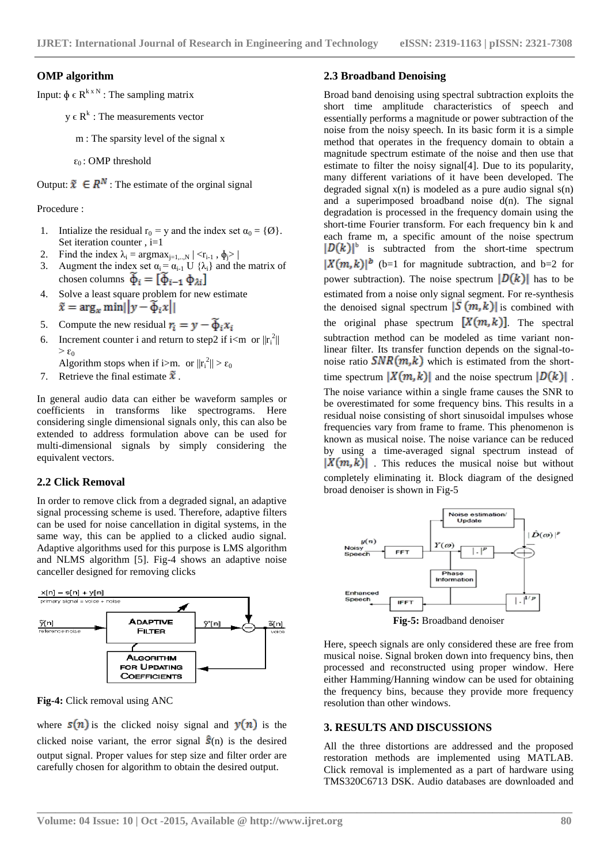#### **OMP algorithm**

Input:  $\Phi \in \mathbb{R}^{k \times N}$ : The sampling matrix

 $y \in R^k$ : The measurements vector

m : The sparsity level of the signal x

 $\varepsilon_0$ : OMP threshold

Output:  $\tilde{x} \in \mathbb{R}^N$ : The estimate of the orginal signal

Procedure :

- 1. Intialize the residual  $r_0 = y$  and the index set  $\alpha_0 = {\emptyset}$ . Set iteration counter , i=1
- 2. Find the index  $\lambda_i = \arg \max_{j=1,\dots,N} |\langle \mathbf{r}_{i-1}, \phi_j \rangle|$ <br>3. Augment the index set  $\alpha_i = \alpha_{i+1} \cup \{\lambda_i\}$  and the
- Augment the index set  $\alpha_i = \alpha_{i-1} U \{\lambda_i\}$  and the matrix of chosen columns  $\widetilde{\Phi}_i = [\widetilde{\Phi}_{i-1} \, \Phi_{\lambda i}]$
- 4. Solve a least square problem for new estimate  $\tilde{x} = \arg_x \min ||y - \tilde{\Phi}_i x||$
- 5. Compute the new residual  $r_i = y \widetilde{\Phi}_i x_i$
- 6. Increment counter i and return to step2 if i<m or  $||r_i^2||$  $>\varepsilon_0$

Algorithm stops when if i>m. or  $||r_i^2|| > \varepsilon_0$ 

7. Retrieve the final estimate  $\tilde{x}$ .

In general audio data can either be waveform samples or coefficients in transforms like spectrograms. Here considering single dimensional signals only, this can also be extended to address formulation above can be used for multi-dimensional signals by simply considering the equivalent vectors.

#### **2.2 Click Removal**

In order to remove click from a degraded signal, an adaptive signal processing scheme is used. Therefore, adaptive filters can be used for noise cancellation in digital systems, in the same way, this can be applied to a clicked audio signal. Adaptive algorithms used for this purpose is LMS algorithm and NLMS algorithm [5]. Fig-4 shows an adaptive noise canceller designed for removing clicks



**Fig-4:** Click removal using ANC

where  $s(n)$  is the clicked noisy signal and  $y(n)$  is the clicked noise variant, the error signal  $\hat{\mathbf{s}}(n)$  is the desired output signal. Proper values for step size and filter order are carefully chosen for algorithm to obtain the desired output.

#### **2.3 Broadband Denoising**

Broad band denoising using spectral subtraction exploits the short time amplitude characteristics of speech and essentially performs a magnitude or power subtraction of the noise from the noisy speech. In its basic form it is a simple method that operates in the frequency domain to obtain a magnitude spectrum estimate of the noise and then use that estimate to filter the noisy signal[4]. Due to its popularity, many different variations of it have been developed. The degraded signal  $x(n)$  is modeled as a pure audio signal  $s(n)$ and a superimposed broadband noise  $d(n)$ . The signal degradation is processed in the frequency domain using the short-time Fourier transform. For each frequency bin k and each frame m, a specific amount of the noise spectrum <sup>b</sup> is subtracted from the short-time spectrum  $|X(m, k)|^b$  (b=1 for magnitude subtraction, and b=2 for power subtraction). The noise spectrum  $|D(k)|$  has to be estimated from a noise only signal segment. For re-synthesis the denoised signal spectrum  $|\overline{S}(m,k)|$  is combined with the original phase spectrum  $[X(m, k)]$ . The spectral subtraction method can be modeled as time variant nonlinear filter. Its transfer function depends on the signal-tonoise ratio  $SNR(m, k)$  which is estimated from the shorttime spectrum  $|X(m, k)|$  and the noise spectrum  $|D(k)|$ . The noise variance within a single frame causes the SNR to be overestimated for some frequency bins. This results in a residual noise consisting of short sinusoidal impulses whose frequencies vary from frame to frame. This phenomenon is known as musical noise. The noise variance can be reduced by using a time-averaged signal spectrum instead of  $|X(m, k)|$ . This reduces the musical noise but without completely eliminating it. Block diagram of the designed broad denoiser is shown in Fig-5



**Fig-5:** Broadband denoiser

Here, speech signals are only considered these are free from musical noise. Signal broken down into frequency bins, then processed and reconstructed using proper window. Here either Hamming/Hanning window can be used for obtaining the frequency bins, because they provide more frequency resolution than other windows.

#### **3. RESULTS AND DISCUSSIONS**

All the three distortions are addressed and the proposed restoration methods are implemented using MATLAB. Click removal is implemented as a part of hardware using TMS320C6713 DSK. Audio databases are downloaded and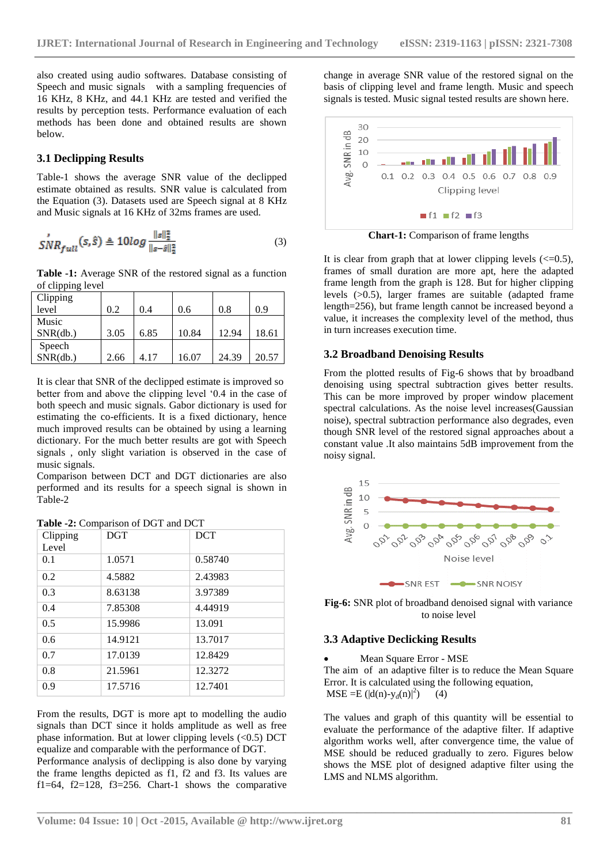also created using audio softwares. Database consisting of Speech and music signals with a sampling frequencies of 16 KHz, 8 KHz, and 44.1 KHz are tested and verified the results by perception tests. Performance evaluation of each methods has been done and obtained results are shown below.

#### **3.1 Declipping Results**

Table-1 shows the average SNR value of the declipped estimate obtained as results. SNR value is calculated from the Equation (3). Datasets used are Speech signal at 8 KHz and Music signals at 16 KHz of 32ms frames are used.

$$
SNR_{full}(s,\hat{s}) \triangleq 10log \frac{\|s\|_2^2}{\|s-\hat{s}\|_2^2}
$$
 (3)

**Table -1:** Average SNR of the restored signal as a function of clipping level

| Clipping |      |      |       |       |       |
|----------|------|------|-------|-------|-------|
| level    | 0.2  | 0.4  | 0.6   | 0.8   | 0.9   |
| Music    |      |      |       |       |       |
| SNR(db.) | 3.05 | 6.85 | 10.84 | 12.94 | 18.61 |
| Speech   |      |      |       |       |       |
| SNR(db.) | 2.66 | 4.17 | 16.07 | 24.39 | 20.57 |

It is clear that SNR of the declipped estimate is improved so better from and above the clipping level "0.4 in the case of both speech and music signals. Gabor dictionary is used for estimating the co-efficients. It is a fixed dictionary, hence much improved results can be obtained by using a learning dictionary. For the much better results are got with Speech signals , only slight variation is observed in the case of music signals.

Comparison between DCT and DGT dictionaries are also performed and its results for a speech signal is shown in Table-2

| Clipping<br>Level | <b>DGT</b> | <b>DCT</b> |
|-------------------|------------|------------|
| 0.1               | 1.0571     | 0.58740    |
| 0.2               | 4.5882     | 2.43983    |
| 0.3               | 8.63138    | 3.97389    |
| 0.4               | 7.85308    | 4.44919    |
| 0.5               | 15.9986    | 13.091     |
| 0.6               | 14.9121    | 13.7017    |
| 0.7               | 17.0139    | 12.8429    |
| 0.8               | 21.5961    | 12.3272    |
| 0.9               | 17.5716    | 12.7401    |

| Table -2: Comparison of DGT and DCT |
|-------------------------------------|
|-------------------------------------|

From the results, DGT is more apt to modelling the audio signals than DCT since it holds amplitude as well as free phase information. But at lower clipping levels  $(<0.5)$  DCT equalize and comparable with the performance of DGT.

Performance analysis of declipping is also done by varying the frame lengths depicted as f1, f2 and f3. Its values are f1=64, f2=128, f3=256. Chart-1 shows the comparative change in average SNR value of the restored signal on the basis of clipping level and frame length. Music and speech signals is tested. Music signal tested results are shown here.



**Chart-1:** Comparison of frame lengths

It is clear from graph that at lower clipping levels  $\ll 0.5$ ), frames of small duration are more apt, here the adapted frame length from the graph is 128. But for higher clipping levels (>0.5), larger frames are suitable (adapted frame length=256), but frame length cannot be increased beyond a value, it increases the complexity level of the method, thus in turn increases execution time.

#### **3.2 Broadband Denoising Results**

From the plotted results of Fig-6 shows that by broadband denoising using spectral subtraction gives better results. This can be more improved by proper window placement spectral calculations. As the noise level increases(Gaussian noise), spectral subtraction performance also degrades, even though SNR level of the restored signal approaches about a constant value .It also maintains 5dB improvement from the noisy signal.



**Fig-6:** SNR plot of broadband denoised signal with variance to noise level

#### **3.3 Adaptive Declicking Results**

Mean Square Error - MSE

The aim of an adaptive filter is to reduce the Mean Square Error. It is calculated using the following equation,  $MSE = E ( |d(n)-y_d(n)|^2 )$  $(4)$ 

The values and graph of this quantity will be essential to evaluate the performance of the adaptive filter. If adaptive algorithm works well, after convergence time, the value of MSE should be reduced gradually to zero. Figures below shows the MSE plot of designed adaptive filter using the LMS and NLMS algorithm.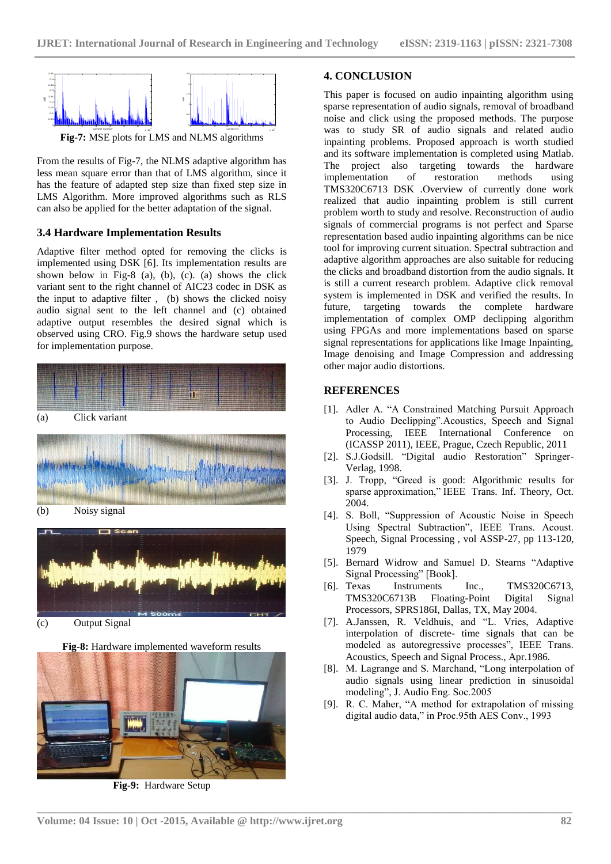

From the results of Fig-7, the NLMS adaptive algorithm has less mean square error than that of LMS algorithm, since it has the feature of adapted step size than fixed step size in LMS Algorithm. More improved algorithms such as RLS can also be applied for the better adaptation of the signal.

#### **3.4 Hardware Implementation Results**

Adaptive filter method opted for removing the clicks is implemented using DSK [6]. Its implementation results are shown below in Fig-8 (a), (b), (c). (a) shows the click variant sent to the right channel of AIC23 codec in DSK as the input to adaptive filter , (b) shows the clicked noisy audio signal sent to the left channel and (c) obtained adaptive output resembles the desired signal which is observed using CRO. Fig.9 shows the hardware setup used for implementation purpose.





(c) Output Signal

**Fig-8:** Hardware implemented waveform results



**Fig-9:** Hardware Setup

#### **4. CONCLUSION**

This paper is focused on audio inpainting algorithm using sparse representation of audio signals, removal of broadband noise and click using the proposed methods. The purpose was to study SR of audio signals and related audio inpainting problems. Proposed approach is worth studied and its software implementation is completed using Matlab. The project also targeting towards the hardware implementation of restoration methods using TMS320C6713 DSK .Overview of currently done work realized that audio inpainting problem is still current problem worth to study and resolve. Reconstruction of audio signals of commercial programs is not perfect and Sparse representation based audio inpainting algorithms can be nice tool for improving current situation. Spectral subtraction and adaptive algorithm approaches are also suitable for reducing the clicks and broadband distortion from the audio signals. It is still a current research problem. Adaptive click removal system is implemented in DSK and verified the results. In future, targeting towards the complete hardware implementation of complex OMP declipping algorithm using FPGAs and more implementations based on sparse signal representations for applications like Image Inpainting, Image denoising and Image Compression and addressing other major audio distortions.

#### **REFERENCES**

- [1]. Adler A. "A Constrained Matching Pursuit Approach to Audio Declipping".Acoustics, Speech and Signal Processing, IEEE International Conference on (ICASSP 2011), IEEE, Prague, Czech Republic, 2011
- [2]. S.J.Godsill. "Digital audio Restoration" Springer-Verlag, 1998.
- [3]. J. Tropp, "Greed is good: Algorithmic results for sparse approximation," IEEE Trans. Inf. Theory, Oct. 2004.
- [4]. S. Boll, "Suppression of Acoustic Noise in Speech Using Spectral Subtraction", IEEE Trans. Acoust. Speech, Signal Processing , vol ASSP-27, pp 113-120, 1979
- [5]. Bernard Widrow and Samuel D. Stearns "Adaptive Signal Processing" [Book].
- [6]. Texas Instruments Inc., TMS320C6713, TMS320C6713B Floating-Point Digital Signal Processors, SPRS186I, Dallas, TX, May 2004.
- [7]. A.Janssen, R. Veldhuis, and "L. Vries, Adaptive interpolation of discrete- time signals that can be modeled as autoregressive processes", IEEE Trans. Acoustics, Speech and Signal Process., Apr.1986.
- [8]. M. Lagrange and S. Marchand, "Long interpolation of audio signals using linear prediction in sinusoidal modeling", J. Audio Eng. Soc.2005
- [9]. R. C. Maher, "A method for extrapolation of missing digital audio data," in Proc.95th AES Conv., 1993